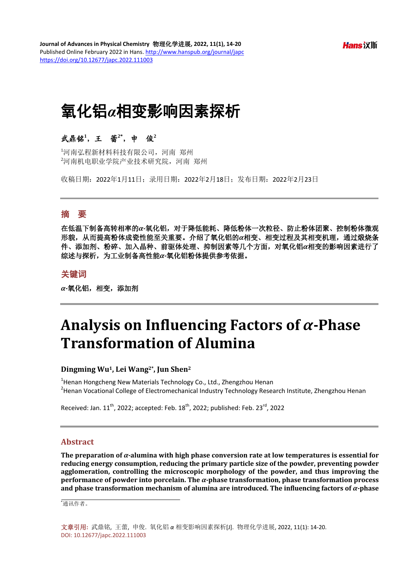# 氧化铝*α*相变影响因素探析

# 武鼎铭**<sup>1</sup>** ,王蕾**2\***,申俊**<sup>2</sup>**

1 河南弘程新材料科技有限公司,河南 郑州 2 河南机电职业学院产业技术研究院,河南 郑州

收稿日期:2022年1月11日;录用日期:2022年2月18日;发布日期:2022年2月23日

# 摘 要

在低温下制备高转相率的*α-*氧化铝,对于降低能耗、降低粉体一次粒径、防止粉体团聚、控制粉体微观 形貌,从而提高粉体成瓷性能至关重要。介绍了氧化铝的*α*相变、相变过程及其相变机理,通过煅烧条 件、添加剂、粉碎、加入晶种、前驱体处理、抑制因素等几个方面,对氧化铝*α*相变的影响因素进行了 综述与探析,为工业制备高性能*α-*氧化铝粉体提供参考依据。

# 关键词

*α-*氧化铝,相变,添加剂

# **Analysis on Influencing Factors of** *α***-Phase Transformation of Alumina**

### **Dingming Wu1, Lei Wang2\*, Jun Shen2**

<sup>1</sup>Henan Hongcheng New Materials Technology Co., Ltd., Zhengzhou Henan<br><sup>2</sup>Henan Vesational Colloge of Electromashanical Industry Technology Bese  $h^2$ Henan Vocational College of Electromechanical Industry Technology Research Institute, Zhengzhou Henan

Received: Jan.  $11^{\text{th}}$ , 2022; accepted: Feb.  $18^{\text{th}}$ , 2022; published: Feb. 23<sup>rd</sup>. 2022

# **Abstract**

**The preparation of** *α-***alumina with high phase conversion rate at low temperatures is essential for reducing energy consumption, reducing the primary particle size of the powder, preventing powder agglomeration, controlling the microscopic morphology of the powder, and thus improving the performance of powder into porcelain. The** *α-***phase transformation, phase transformation process and phase transformation mechanism of alumina are introduced. The influencing factors of**  $\alpha$ **-phase** 

\* 通讯作者。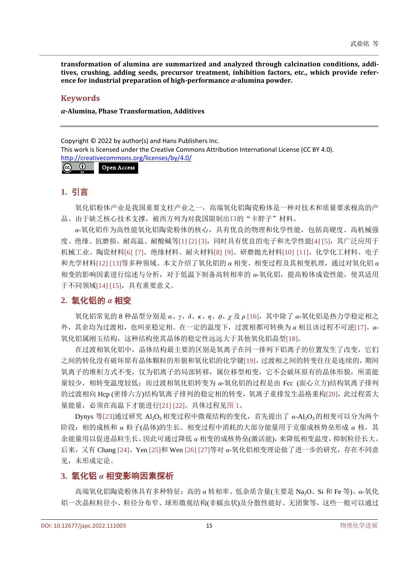**transformation of alumina are summarized and analyzed through calcination conditions, additives, crushing, adding seeds, precursor treatment, inhibition factors, etc., which provide reference for industrial preparation of high-performance** *α-***alumina powder.**

## **Keywords**

*α-***Alumina, Phase Transformation, Additives**

Copyright © 2022 by author(s) and Hans Publishers Inc. This work is licensed under the Creative Commons Attribution International License (CC BY 4.0). <http://creativecommons.org/licenses/by/4.0/>

 $\odot$   $\odot$ Open Access

# **1.** 引言

氧化铝粉体产业是我国重要支柱产业之一,高端氧化铝陶瓷粉体是一种对技术和质量要求极高的产 品。由于缺乏核心技术支撑,被西方列为对我国限制出口的"卡脖子"材料。

*α*-氧化铝作为高性能氧化铝陶瓷粉体的核心,具有优良的物理和化学性能,包括高硬度、高机械强 度、绝缘、抗磨损、耐高温、耐酸碱等[\[1\]](#page-4-0) [\[2\]](#page-4-1) [\[3\]](#page-4-2),同时具有优良的电子和光学性能[\[4\]](#page-4-3) [\[5\]](#page-4-4), 其广泛应用于 机械工业、陶瓷材料[\[6\]](#page-4-5) [\[7\]](#page-4-6)、绝缘材料、耐火材料[\[8\]](#page-5-0) [\[9\]](#page-5-1)、研磨抛光材料[\[10\]](#page-5-2) [\[11\]](#page-5-3)、化学化工材料、电子 和光学材料[\[12\]](#page-5-4) [\[13\]](#page-5-5)等多种领域。本文介绍了氧化铝的 *α* 相变、相变过程及其相变机理,通过对氧化铝 *α* 相变的影响因素进行综述与分析,对于低温下制备高转相率的 α-氧化铝, 提高粉体成瓷性能, 使其适用 于不同领域[\[14\]](#page-5-6) [\[15\]](#page-5-7),具有重要意义。

# **2.** 氧化铝的 *α* 相变

氧化铝常见的 8 种晶型分别是 *α*、*γ*、*δ*、*κ*、*η*、*θ*、*χ* 及 *ρ* [\[16\]](#page-5-8),其中除了 *α*-氧化铝是热力学稳定相之 外,其余均为过渡相,也叫亚稳定相。在一定的温度下,过渡相都可转换为 *α* 相且该过程不可逆[\[17\]](#page-5-9)。*α*-氧化铝属刚玉结构,这种结构使其晶体的稳定性远远大于其他氧化铝晶型[\[18\]](#page-5-10)。

在过渡相氧化铝中,晶体结构最主要的区别是氧离子在同一排列下铝离子的位置发生了改变,它们 之间的转化没有破坏原有晶体颗粒的形貌和氧化铝的化学键[\[19\]](#page-5-11)。过渡相之间的转变往往是连续的,期间 氧离子的堆积方式不变,仅为铝离子的局部转移,属位移型相变,它不会破坏原有的晶体形貌,所需能 量较少,相转变温度较低;而过渡相氧化铝转变为 α-氧化铝的过程是由 Fcc (面心立方)结构氧离子排列 的过渡相向 Hcp (密排六方)结构氧离子排列的稳定相的转变, 氧离子重排发生晶格重构[\[20\]](#page-5-12), 此过程需大 量能量,必须在高温下才能进行[\[21\]](#page-5-13) [\[22\]](#page-5-14)。具体过程[见图](#page-2-0) 1。

Dynys 等[\[23\]](#page-5-15)通过研究 Al<sub>2</sub>O<sub>3</sub>相变过程中微观结构的变化, 首先提出了 α-Al<sub>2</sub>O<sub>3</sub>的相变可以分为两个 阶段:相的成核和 *α* 粒子(晶体)的生长。相变过程中消耗的大部分能量用于克服成核势垒形成 *α* 核,其 余能量用以促进晶粒生长。因此可通过降低 *α* 相变的成核势垒(激活能),来降低相变温度,抑制粒径长大。 后来,又有 Chang [\[24\]](#page-5-16)、Yen [\[25\]](#page-5-17)和 Wen [\[26\]](#page-5-18) [\[27\]](#page-5-19)等对 *α*-氧化铝相变理论做了进一步的研究,存在不同意 见,未形成定论。

# **3.** 氧化铝 *α* 相变影响因素探析

高端氧化铝陶瓷粉体具有多种特征:高的 *α* 转相率、低杂质含量(主要是 Na2O、Si 和 Fe 等)、*α*-氧化 铝一次晶粒粒径小、粒径分布窄、球形微观结构(非蠕虫状)及分散性能好、无团聚等,这些一般可以通过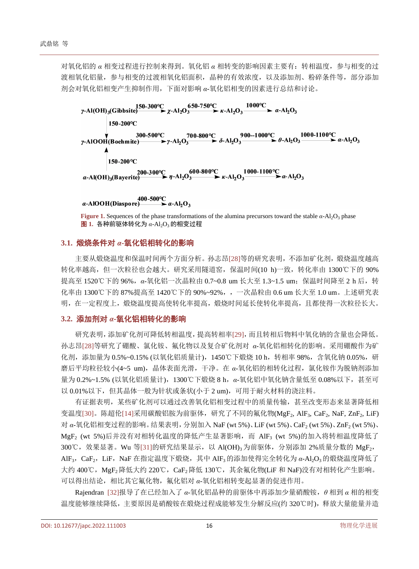对氧化铝的 *α* 相变过程进行控制来得到。氧化铝 *α* 相转变的影响因素主要有:转相温度,参与相变的过 渡相氧化铝量,参与相变的过渡相氧化铝面积,晶种的有效浓度,以及添加剂、粉碎条件等,部分添加 剂会对氧化铝相变产生抑制作用,下面对影响 *α*-氧化铝相变的因素进行总结和讨论。

<span id="page-2-0"></span>

**Figure 1.** Sequences of the phase transformations of the alumina precursors toward the stable *α*-Al<sub>2</sub>O<sub>3</sub> phase  $\overline{2}$  1. 各种前驱体转化为  $\alpha$ -Al<sub>2</sub>O<sub>3</sub> 的相变过程

## **3.1.** 煅烧条件对 *α***-**氧化铝相转化的影响

主要从煅烧温度和保温时间两个方面分析。孙志昂[\[28\]](#page-5-20)等的研究表明,不添加矿化剂,煅烧温度越高 转化率越高,但一次粒径也会越大。研究采用隧道窑,保温时间(10 h)一致,转化率由 1300℃下的 90% 提高至 1520℃下的 96%, α-氧化铝一次晶粒由 0.7~0.8 um 长大至 1.3~1.5 um; 保温时间降至 2 h 后, 转 化率由 1300℃下的 87%提高至 1420℃下的 90%~92%,,一次晶粒由 0.6 um 长大至 1.0 um。上述研究表 明,在一定程度上,煅烧温度提高使转化率提高,煅烧时间延长使转化率提高,且都使得一次粒径长大。

### **3.2.** 添加剂对 *α-*氧化铝相转化的影响

研究表明,添加矿化剂可降低转相温度,提高转相率[\[29\]](#page-5-21),而且转相后物料中氧化钠的含量也会降低。 孙志昂[\[28\]](#page-5-20)等研究了硼酸、氯化铵、氟化物以及复合矿化剂对 *α*-氧化铝相转化的影响。采用硼酸作为矿 化剂,添加量为 0.5%~0.15% (以氧化铝质量计), 1450℃下煅烧 10 h, 转相率 98%, 含氧化钠 0.05%, 研 磨后平均粒径较小(4~5 um),晶体表面光滑,干净。在 *α*-氧化铝的相转化过程,氯化铵作为脱钠剂添加 量为 0.2%~1.5% (以氧化铝质量计),1300℃下煅烧 8 h,*α*-氧化铝中氧化钠含量低至 0.08%以下,甚至可 以 0.01%以下,但其晶体一般为针状或条状(小于 2 um), 可用于耐火材料的浇注料。

有证据表明,某些矿化剂可以通过改善氧化铝相变过程中的质量传输,甚至改变形态来显著降低相 变温度[\[30\]](#page-5-22)。陈超伦[\[14\]](#page-5-6)采用碳酸铝胺为前驱体,研究了不同的氟化物(MgF<sub>2</sub>, AlF<sub>3</sub>, CaF<sub>2</sub>, NaF, ZnF<sub>2</sub>, LiF) 对 α-氧化铝相变过程的影响。结果表明, 分别加入 NaF (wt 5%)、LiF (wt 5%)、CaF<sub>2</sub> (wt 5%)、ZnF<sub>2</sub> (wt 5%)、 MgF<sub>2</sub> (wt 5%)后并没有对相转化温度的降低产生显著影响, 而 AlF<sub>3</sub> (wt 5%)的加入将转相温度降低了 300℃, 效果显著。Wu 等[\[31\]](#page-5-23)的研究结果显示, 以 Al(OH)<sub>3</sub> 为前驱体, 分别添加 2%质量分数的 MgF<sub>2</sub>, AlF<sub>3</sub>, CaF<sub>2</sub>, LiF, NaF 在指定温度下煅烧, 其中 AlF<sub>3</sub>的添加使得完全转化为 α-Al<sub>2</sub>O<sub>3</sub>的煅烧温度降低了 大约 400℃, MgF<sub>2</sub>降低大约 220℃, CaF<sub>2</sub>降低 130℃, 其余氟化物(LiF 和 NaF)没有对相转化产生影响。 可以得出结论,相比其它氟化物,氟化铝对 *α*-氧化铝相转变起显著的促进作用。

Rajendran [\[32\]](#page-5-24)报导了在已经加入了 *α*-氧化铝晶种的前驱体中再添加少量硝酸铵,*θ* 相到 *α* 相的相变 温度能够继续降低,主要原因是硝酸铵在煅烧过程成能够发生分解反应(约320℃时),释放大量能量并造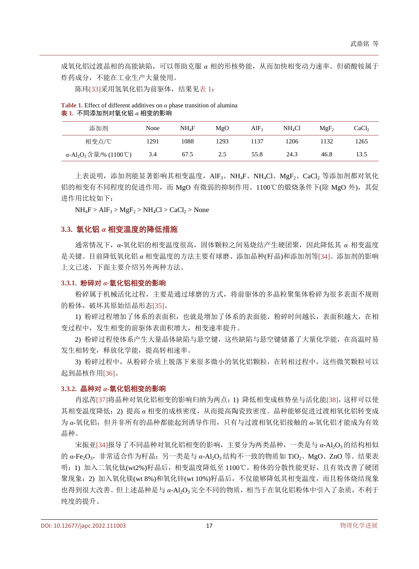成氧化铝过渡晶相的高能缺陷,可以帮助克服 *α* 相的形核势能,从而加快相变动力速率。但硝酸铵属于 炸药成分,不能在工业生产大量使用。

陈玮[\[33\]](#page-5-25)采用氢氧化铝为前驱体,结果[见表](#page-3-0) 1:

<span id="page-3-0"></span>**Table 1.** Effect of different additives on *α* phase transition of alumina 表 **1.** 不同添加剂对氧化铝 *α* 相变的影响

| 添加剂                                               | None | NH.F | MgO  | AlF <sub>3</sub> | NH4Cl | $MgF_2$ | CaCl <sub>2</sub> |
|---------------------------------------------------|------|------|------|------------------|-------|---------|-------------------|
| 相变点/℃                                             | .291 | 1088 | 1293 | 137              | 1206  | 132     | 1265              |
| $α$ -Al <sub>2</sub> O <sub>3</sub> 含量/% (1100°C) | 3.4  | 67.5 | 2.5  | 55.8             | 24.3  | 46.8    | 13.5              |

上表说明,添加剂能显著影响其相变温度,AlF3、NH4F、NH4Cl、MgF2、CaCl2 等添加剂都对氧化 铝的相变有不同程度的促进作用,而 MgO 有微弱的抑制作用。1100℃的煅烧条件下(除 MgO 外), 其促 进作用比较如下:

 $NH_4F > AlF_3 > MgF_2 > NH_4Cl > CaCl_2 > None$ 

#### **3.3.** 氧化铝 *α* 相变温度的降低措施

通常情况下,*α*-氧化铝的相变温度很高,固体颗粒之间易烧结产生硬团聚,因此降低其 *α* 相变温度 是关键。目前降低氧化铝 *α* 相变温度的方法主要有球磨、添加晶种(籽晶)和添加剂等[\[34\]](#page-5-26)。添加剂的影响 上文已述,下面主要介绍另外两种方法。

#### **3.3.1.** 粉碎对 *α-*氧化铝相变的影响

粉碎属于机械活化过程,主要是通过球磨的方式,将前驱体的多晶粒聚集体粉碎为很多表面不规则 的粉体,破坏其原始结晶形态[\[35\]](#page-5-27)。

1) 粉碎过程增加了体系的表面积,也就是增加了体系的表面能,粉碎时间越长,表面积越大,在相 变过程中,发生相变的前驱体表面积增大,相变速率提升。

2) 粉碎过程使体系产生大量晶体缺陷与悬空键,这些缺陷与悬空键储蓄了大量化学能,在高温时易 发生相转变,释放化学能,提高转相速率。

3) 粉碎过程中,从粉碎介质上脱落下来很多微小的氧化铝颗粒,在转相过程中,这些微笑颗粒可以 起到晶核作用[\[36\]](#page-5-28)。

#### **3.3.2.** 晶种对 *α-*氧化铝相变的影响

肖泓芮[\[37\]](#page-5-29)将晶种对氧化铝相变的影响归纳为两点: 1) 降低相变成核势垒与活化能[\[38\]](#page-5-30), 这样可以使 其相变温度降低;2) 提高 *α* 相变的成核密度,从而提高陶瓷致密度。晶种能够促进过渡相氧化铝转变成 为 *α*-氧化铝,但并非所有的晶种都能起到诱导作用,只有与过渡相氧化铝接触的 *α*-氧化铝才能成为有效 晶种。

宋振亚[\[34\]](#page-5-26)报导了不同晶种对氧化铝相变的影响,主要分为两类晶种,一类是与 α-Al<sub>2</sub>O<sub>3</sub>的结构相似 的 α-Fe<sub>2</sub>O<sub>3</sub>, 非常适合作为籽晶; 另一类是与 α-Al<sub>2</sub>O<sub>3</sub>结构不一致的物质如 TiO<sub>2</sub>、MgO、ZnO 等。结果表 明: 1) 加入二氧化钛(wt2%)籽晶后, 相变温度降低至 1100℃, 粉体的分散性能更好, 且有效改善了硬团 聚现象;2) 加入氧化镁(wt 8%)和氧化锌(wt 10%)籽晶后, 不仅能够降低其相变温度, 而且粉体烧结现象 也得到很大改善。但上述晶种是与 α-Al2O<sub>3</sub> 完全不同的物质,相当于在氧化铝粉体中引入了杂质, 不利于 纯度的提升。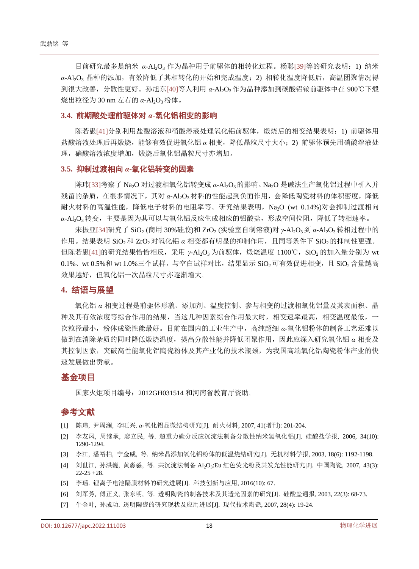目前研究最多是纳米 α-Al<sub>2</sub>O<sub>3</sub> 作为晶种用于前驱体的相转化过程。杨聪[\[39\]](#page-6-0)等的研究表明: 1) 纳米 α-Al<sub>2</sub>O<sub>3</sub> 晶种的添加,有效降低了其相转化的开始和完成温度;2) 相转化温度降低后, 高温团聚情况得 到很大改善,分散性更好。孙旭东[\[40\]](#page-6-1)等人利用 *α*-Al2O3作为晶种添加到碳酸铝铵前驱体中在 900℃下煅 烧出粒径为 30 nm 左右的 α-Al<sub>2</sub>O<sub>3</sub>粉体。

#### **3.4.** 前期酸处理前驱体对 *α***-**氧化铝相变的影响

陈若愚[\[41\]](#page-6-2)分别利用盐酸溶液和硝酸溶液处理氧化铝前驱体,煅烧后的相变结果表明: 1) 前驱体用 盐酸溶液处理后再煅烧,能够有效促进氧化铝 *α* 相变,降低晶粒尺寸大小;2) 前驱体预先用硝酸溶液处 理,硝酸溶液浓度增加,煅烧后氧化铝晶粒尺寸亦增加。

#### **3.5.** 抑制过渡相向 *α***-**氧化铝转变的因素

陈玮[\[33\]](#page-5-25)考察了 Na<sub>2</sub>O 对过渡相氧化铝转变成 α-Al<sub>2</sub>O<sub>3</sub>的影响。Na<sub>2</sub>O 是碱法生产氧化铝过程中引入并 残留的杂质,在很多情况下,其对 *α*-Al2O3材料的性能起到负面作用,会降低陶瓷材料的体积密度,降低 耐火材料的高温性能,降低电子材料的电阻率等。研究结果表明, Na<sub>2</sub>O (wt 0.14%)对会抑制过渡相向 α-Al<sub>2</sub>O<sub>3</sub>转变,主要是因为其可以与氧化铝反应生成相应的铝酸盐,形成空间位阻,降低了转相速率。

宋振亚[\[34\]](#page-5-26)研究了 SiO<sub>2</sub> (商用 30%硅胶)和 ZrO<sub>2</sub> (实验室自制溶液)对 *γ*-Al<sub>2</sub>O<sub>3</sub>到 α-Al<sub>2</sub>O<sub>3</sub>转相过程中的 作用。结果表明 SiO<sub>2</sub>和 ZrO<sub>2</sub>对氧化铝 α 相变都有明显的抑制作用,且同等条件下 SiO<sub>2</sub>的抑制性更强。 但陈若愚[\[41\]](#page-6-2)的研究结果恰恰相反,采用 *γ*-Al<sub>2</sub>O<sub>3</sub> 为前驱体, 煅烧温度 1100℃, SiO<sub>2</sub> 的加入量分别为 wt  $0.1\%$ 、wt  $0.5\%$ 和 wt  $1.0\%$ 三个试样,与空白试样对比,结结果显示 SiO,可有效促进相变,且 SiO,含量越高 效果越好,但氧化铝一次晶粒尺寸亦逐渐增大。

#### **4.** 结语与展望

氧化铝 *α* 相变过程是前驱体形貌、添加剂、温度控制、参与相变的过渡相氧化铝量及其表面积、晶 种及其有效浓度等综合作用的结果,当这几种因素综合作用最大时,相变速率最高,相变温度最低,一 次粒径最小,粉体成瓷性能最好。目前在国内的工业生产中,高纯超细 *α*-氧化铝粉体的制备工艺还难以 做到在消除杂质的同时降低煅烧温度,提高分散性能并降低团聚作用,因此应深入研究氧化铝 *α* 相变及 其控制因素,突破高性能氧化铝陶瓷粉体及其产业化的技术瓶颈,为我国高端氧化铝陶瓷粉体产业的快 速发展做出贡献。

## 基金项目

国家火炬项目编号:2012GH031514 和河南省教育厅资助。

# 参考文献

- <span id="page-4-0"></span>[1] 陈玮, 尹周澜, 李旺兴. *α*-氧化铝显微结构研究[J]. 耐火材料, 2007, 41(增刊): 201-204.
- <span id="page-4-1"></span>[2] 李友凤, 周继承, 廖立民, 等. 超重力碳分反应沉淀法制备分散性纳米氢氧化铝[J]. 硅酸盐学报, 2006, 34(10): 1290-1294.
- <span id="page-4-2"></span>[3] 李江, 潘裕柏, 宁金威, 等. 纳米晶添加氧化铝粉体的低温烧结研究[J]. 无机材料学报, 2003, 18(6): 1192-1198.
- <span id="page-4-3"></span>[4] 刘世江, 孙洪巍, 黄淼淼, 等. 共沉淀法制备 Al2O<sub>3</sub>:Eu 红色荧光粉及其发光性能研究[J]. 中国陶瓷, 2007, 43(3): 22-25 +28.
- <span id="page-4-4"></span>[5] 李瑶. 锂离子电池隔膜材料的研究进展[J]. 科技创新与应用, 2016(10): 67.
- <span id="page-4-5"></span>[6] 刘军芳, 傅正义, 张东明, 等. 透明陶瓷的制备技术及其透光因素的研究[J]. 硅酸盐通报, 2003, 22(3): 68-73.
- <span id="page-4-6"></span>[7] 牛金叶, 孙成功. 透明陶瓷的研究现状及应用进展[J]. 现代技术陶瓷, 2007, 28(4): 19-24.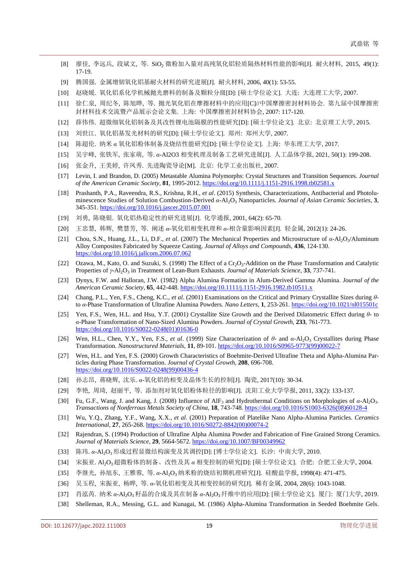- <span id="page-5-0"></span>[8] 廖佳, 李远兵, 段斌文, 等. SiO<sub>2</sub> 微粉加入量对高纯氧化铝轻质隔热材料性能的影响[J]. 耐火材料, 2015, 49(1): 17-19.
- <span id="page-5-1"></span>[9] 腾国强. 金属增韧氧化铝基耐火材料的研究进展[J]. 耐火材料, 2006, 40(1): 53-55.
- <span id="page-5-2"></span>[10] 赵晓媛. 氧化铝系化学机械抛光磨料的制备及颗粒分级[D]: [硕士学位论文]. 大连: 大连理工大学, 2007.
- <span id="page-5-3"></span>[11] 徐仁泉, 周纪冬, 陈旭晔, 等. 抛光氧化铝在摩擦材料中的应用[C]//中国摩擦密封材料协会. 第九届中国摩擦密 封材料技术交流暨产品展示会论文集. 上海: 中国摩擦密封材料协会, 2007: 117-120.
- <span id="page-5-4"></span>[12] 薛伟伟. 超微细氧化铝制备及其改性锂电池隔膜的性能研究[D]: [硕士学位论文]. 北京: 北京理工大学, 2015.
- <span id="page-5-5"></span>[13] 刘世江. 氧化铝基发光材料的研究[D]: [硕士学位论文]. 郑州: 郑州大学, 2007.
- <span id="page-5-6"></span>[14] 陈超伦. 纳米 *α* 氧化铝粉体制备及烧结性能研究[D]: [硕士学位论文]. 上海: 华东理工大学, 2017.
- <span id="page-5-7"></span>[15] 吴宇峰, 张铁军, 张家萌, 等. *α-*Al2O3 相变机理及制备工艺研究进展[J]. 人工晶体学报, 2021, 50(1): 199-208.
- <span id="page-5-8"></span>[16] 张金升, 王美婷, 许凤秀. 先进陶瓷导论[M]. 北京: 化学工业出版社, 2007.
- <span id="page-5-9"></span>[17] Levin, I. and Brandon, D. (2005) Metastable Alumina Polymorphs: Crystal Structures and Transition Sequences. *Journal of the American Ceramic Society*, **81**, 1995-2012. <https://doi.org/10.1111/j.1151-2916.1998.tb02581.x>
- <span id="page-5-10"></span>[18] Prashanth, P.A., Raveendra, R.S., Krishna, R.H., *et al*. (2015) Synthesis, Characterizations, Antibacterial and Photoluminescence Studies of Solution Combustion-Derived *α*-Al2O3 Nanoparticles. *Journal of Asian Ceramic Societies*, **3**, 345-351. <https://doi.org/10.1016/j.jascer.2015.07.001>
- <span id="page-5-11"></span>[19] 刘勇, 陈晓银. 氧化铝热稳定性的研究进展[J]. 化学通报, 2001, 64(2): 65-70.
- <span id="page-5-12"></span>[20] 王忠慧, 韩辉, 樊慧芳, 等. 阐述 *α*-氧化铝相变机理和 *α*-相含量影响因素[J]. 轻金属, 2012(1): 24-26.
- <span id="page-5-13"></span>[21] Chou, S.N., Huang, J.L., Li, D.F., *et al*. (2007) The Mechanical Properties and Microstructure of *α*-Al2O3/Aluminum Alloy Composites Fabricated by Squeeze Casting. *Journal of Alloys and Compounds*, **436**, 124-130. <https://doi.org/10.1016/j.jallcom.2006.07.062>
- <span id="page-5-14"></span>[22] Ozawa, M., Kato, O. and Suzuki, S. (1998) The Effect of a  $Cr_2O_3$ -Addition on the Phase Transformation and Catalytic Properties of *γ*-Al2O3 in Treatment of Lean-Burn Exhausts. *Journal of Materials Science*, **33**, 737-741.
- <span id="page-5-15"></span>[23] Dynys, F.W. and Halloran, J.W. (1982) Alpha Alumina Formation in Alum-Derived Gamma Alumina. *Journal of the American Ceramic Society*, **65**, 442-448[. https://doi.org/10.1111/j.1151-2916.1982.tb10511.x](https://doi.org/10.1111/j.1151-2916.1982.tb10511.x)
- <span id="page-5-16"></span>[24] Chang, P.L., Yen, F.S., Cheng, K.C., *et al*. (2001) Examinations on the Critical and Primary Crystallite Sizes during *θ*to *α*-Phase Transformation of Ultrafine Alumina Powders. *Nano Letters*, **1**, 253-261[. https://doi.org/10.1021/nl015501c](https://doi.org/10.1021/nl015501c)
- <span id="page-5-17"></span>[25] Yen, F.S., Wen, H.L. and Hsu, Y.T. (2001) Crystallite Size Growth and the Derived Dilatometric Effect during *θ*- to *α*-Phase Transformation of Nano-Sized Alumina Powders. *Journal of Crystal Growth*, **233**, 761-773. [https://doi.org/10.1016/S0022-0248\(01\)01636-0](https://doi.org/10.1016/S0022-0248(01)01636-0)
- <span id="page-5-18"></span>[26] Wen, H.L., Chen, Y.Y., Yen, F.S., *et al*. (1999) Size Characterization of *θ*- and *α*-Al2O3 Crystallites during Phase Transformation. *Nanostructured Materials*, **11**, 89-101. [https://doi.org/10.1016/S0965-9773\(99\)00022-7](https://doi.org/10.1016/S0965-9773(99)00022-7)
- <span id="page-5-19"></span>[27] Wen, H.L. and Yen, F.S. (2000) Growth Characteristics of Boehmite-Derived Ultrafine Theta and Alpha-Alumina Particles during Phase Transformation. *Journal of Crystal Growth*, **208**, 696-708. [https://doi.org/10.1016/S0022-0248\(99\)00436-4](https://doi.org/10.1016/S0022-0248(99)00436-4)
- <span id="page-5-20"></span>[28] 孙志昂, 蒋晓辉, 沈乐. *α*-氧化铝的相变及晶体生长的控制[J]. 陶瓷, 2017(10): 30-34.
- <span id="page-5-21"></span>[29] 李艳, 周琦, 赵丽平, 等. 添加剂对氧化铝粉体粒径的影响[J]. 沈阳工业大学学报, 2011, 33(2): 133-137.
- <span id="page-5-22"></span>[30] Fu, G.F., Wang, J. and Kang, J. (2008) Influence of AlF3 and Hydrothermal Conditions on Morphologies of *α-*Al2O3. *Transactions of Nonferrous Metals Society of China*, **18**, 743-748. [https://doi.org/10.1016/S1003-6326\(08\)60128-4](https://doi.org/10.1016/S1003-6326(08)60128-4)
- <span id="page-5-23"></span>[31] Wu, Y.Q., Zhang, Y.F., Wang, X.X., *et al*. (2001) Preparation of Platelike Nano Alpha-Alumina Particles. *Ceramics International*, **27**, 265-268[. https://doi.org/10.1016/S0272-8842\(00\)00074-2](https://doi.org/10.1016/S0272-8842(00)00074-2)
- <span id="page-5-24"></span>[32] Rajendran, S. (1994) Production of Ultrafine Alpha Alumina Powder and Fabrication of Fine Grained Strong Ceramics. *Journal of Materials Science*, **29**, 5664-5672[. https://doi.org/10.1007/BF00349962](https://doi.org/10.1007/BF00349962)
- <span id="page-5-25"></span>[33] 陈玮. *α*-Al2O3形成过程显微结构演变及其调控[D]: [博士学位论文]. 长沙: 中南大学, 2010.
- <span id="page-5-26"></span>[34] 宋振亚. Al2O3超微粉体的制备、改性及其 *α* 相变控制的研究[D]: [硕士学位论文]. 合肥: 合肥工业大学, 2004.
- <span id="page-5-27"></span>[35] 李继光, 孙旭东, 王雅蓉, 等. α-Al2O<sub>3</sub>纳米粉的烧结初期机理研究[J]. 硅酸盐学报, 1998(4): 471-475.
- <span id="page-5-28"></span>[36] 吴玉程, 宋振亚, 杨晔, 等. *α*-氧化铝相变及其相变控制的研究[J]. 稀有金属, 2004, 28(6): 1043-1048.
- <span id="page-5-29"></span>[37] 肖泓芮. 纳米 *α*-Al2O3 籽晶的合成及其在制备 *α*-Al2O3纤维中的应用[D]: [硕士学位论文]. 厦门: 厦门大学, 2019.
- <span id="page-5-30"></span>[38] Shelleman, R.A., Messing, G.L. and Kunagai, M. (1986) Alpha-Alumina Transformation in Seeded Boehmite Gels.